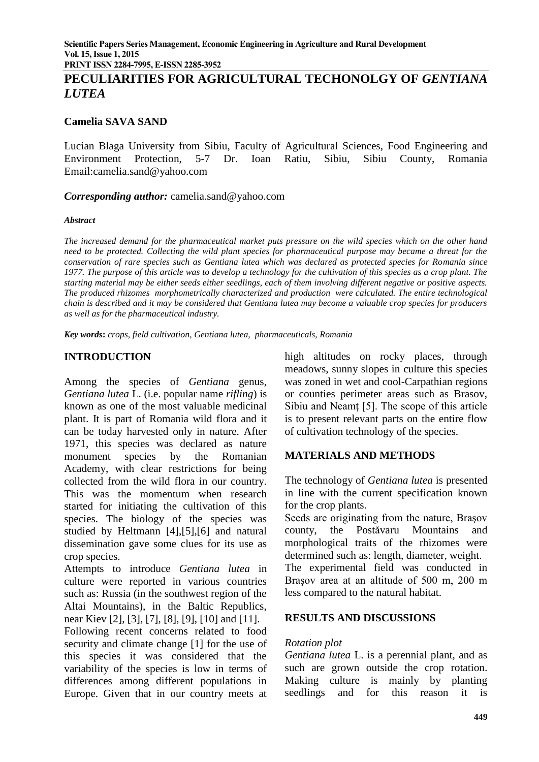**PRINT ISSN 2284-7995, E-ISSN 2285-3952** 

# **PECULIARITIES FOR AGRICULTURAL TECHONOLGY OF** *GENTIANA LUTEA*

### **Camelia SAVA SAND**

Lucian Blaga University from Sibiu, Faculty of Agricultural Sciences, Food Engineering and Environment Protection, 5-7 Dr. Ioan Ratiu, Sibiu, Sibiu County, Romania Email:camelia.sand@yahoo.com

*Corresponding author:* camelia.sand@yahoo.com

#### *Abstract*

*The increased demand for the pharmaceutical market puts pressure on the wild species which on the other hand need to be protected. Collecting the wild plant species for pharmaceutical purpose may became a threat for the conservation of rare species such as Gentiana lutea which was declared as protected species for Romania since 1977. The purpose of this article was to develop a technology for the cultivation of this species as a crop plant. The starting material may be either seeds either seedlings, each of them involving different negative or positive aspects. The produced rhizomes morphometrically characterized and production were calculated. The entire technological chain is described and it may be considered that Gentiana lutea may become a valuable crop species for producers as well as for the pharmaceutical industry.*

*Key words***:** *crops, field cultivation, Gentiana lutea, pharmaceuticals, Romania*

#### **INTRODUCTION**

Among the species of *Gentiana* genus, *Gentiana lutea* L. (i.e. popular name *rifling*) is known as one of the most valuable medicinal plant. It is part of Romania wild flora and it can be today harvested only in nature. After 1971, this species was declared as nature monument species by the Romanian Academy, with clear restrictions for being collected from the wild flora in our country. This was the momentum when research started for initiating the cultivation of this species. The biology of the species was studied by Heltmann [4],[5],[6] and natural dissemination gave some clues for its use as crop species.

Attempts to introduce *Gentiana lutea* in culture were reported in various countries such as: Russia (in the southwest region of the Altai Mountains), in the Baltic Republics, near Kiev [2], [3], [7], [8], [9], [10] and [11].

Following recent concerns related to food security and climate change [1] for the use of this species it was considered that the variability of the species is low in terms of differences among different populations in Europe. Given that in our country meets at

high altitudes on rocky places, through meadows, sunny slopes in culture this species was zoned in wet and cool-Carpathian regions or counties perimeter areas such as Brasov, Sibiu and Neamţ [5]. The scope of this article is to present relevant parts on the entire flow of cultivation technology of the species.

## **MATERIALS AND METHODS**

The technology of *Gentiana lutea* is presented in line with the current specification known for the crop plants.

Seeds are originating from the nature, Braşov county, the Postăvaru Mountains and morphological traits of the rhizomes were determined such as: length, diameter, weight. The experimental field was conducted in

Braşov area at an altitude of 500 m, 200 m less compared to the natural habitat.

#### **RESULTS AND DISCUSSIONS**

#### *Rotation plot*

*Gentiana lutea* L. is a perennial plant, and as such are grown outside the crop rotation. Making culture is mainly by planting seedlings and for this reason it is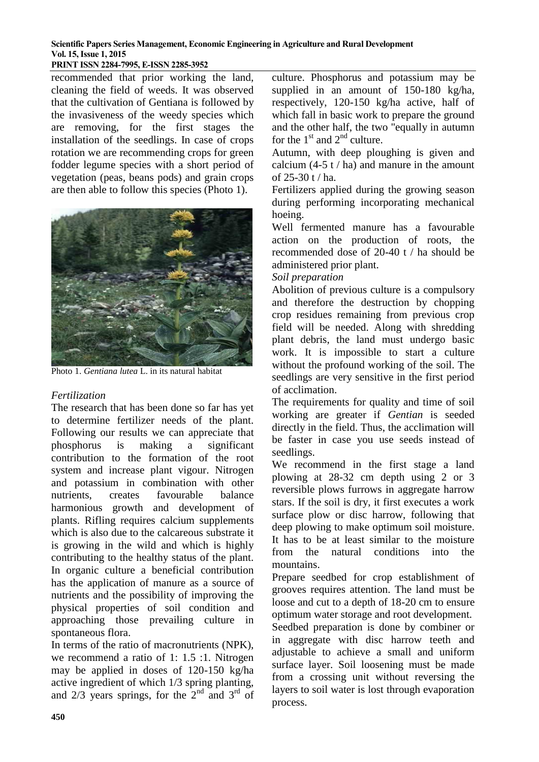#### **PRINT ISSN 2284-7995, E-ISSN 2285-3952**

recommended that prior working the land, cleaning the field of weeds. It was observed that the cultivation of Gentiana is followed by the invasiveness of the weedy species which are removing, for the first stages the installation of the seedlings. In case of crops rotation we are recommending crops for green fodder legume species with a short period of vegetation (peas, beans pods) and grain crops are then able to follow this species (Photo 1).



Photo 1. *Gentiana lutea* L. in its natural habitat

## *Fertilization*

The research that has been done so far has yet to determine fertilizer needs of the plant. Following our results we can appreciate that phosphorus is making a significant contribution to the formation of the root system and increase plant vigour. Nitrogen and potassium in combination with other nutrients, creates favourable balance harmonious growth and development of plants. Rifling requires calcium supplements which is also due to the calcareous substrate it is growing in the wild and which is highly contributing to the healthy status of the plant. In organic culture a beneficial contribution has the application of manure as a source of nutrients and the possibility of improving the physical properties of soil condition and approaching those prevailing culture in spontaneous flora.

In terms of the ratio of macronutrients (NPK), we recommend a ratio of 1: 1.5 :1. Nitrogen may be applied in doses of 120-150 kg/ha active ingredient of which 1/3 spring planting, and  $2/3$  years springs, for the  $2<sup>nd</sup>$  and  $3<sup>rd</sup>$  of

culture. Phosphorus and potassium may be supplied in an amount of 150-180 kg/ha, respectively, 120-150 kg/ha active, half of which fall in basic work to prepare the ground and the other half, the two "equally in autumn for the  $1<sup>st</sup>$  and  $2<sup>nd</sup>$  culture.

Autumn, with deep ploughing is given and calcium  $(4-5 t / h a)$  and manure in the amount of 25-30 t / ha.

Fertilizers applied during the growing season during performing incorporating mechanical hoeing.

Well fermented manure has a favourable action on the production of roots, the recommended dose of 20-40 t / ha should be administered prior plant.

#### *Soil preparation*

Abolition of previous culture is a compulsory and therefore the destruction by chopping crop residues remaining from previous crop field will be needed. Along with shredding plant debris, the land must undergo basic work. It is impossible to start a culture without the profound working of the soil. The seedlings are very sensitive in the first period of acclimation.

The requirements for quality and time of soil working are greater if *Gentian* is seeded directly in the field. Thus, the acclimation will be faster in case you use seeds instead of seedlings.

We recommend in the first stage a land plowing at 28-32 cm depth using 2 or 3 reversible plows furrows in aggregate harrow stars. If the soil is dry, it first executes a work surface plow or disc harrow, following that deep plowing to make optimum soil moisture. It has to be at least similar to the moisture from the natural conditions into the mountains.

Prepare seedbed for crop establishment of grooves requires attention. The land must be loose and cut to a depth of 18-20 cm to ensure optimum water storage and root development.

Seedbed preparation is done by combiner or in aggregate with disc harrow teeth and adjustable to achieve a small and uniform surface layer. Soil loosening must be made from a crossing unit without reversing the layers to soil water is lost through evaporation process.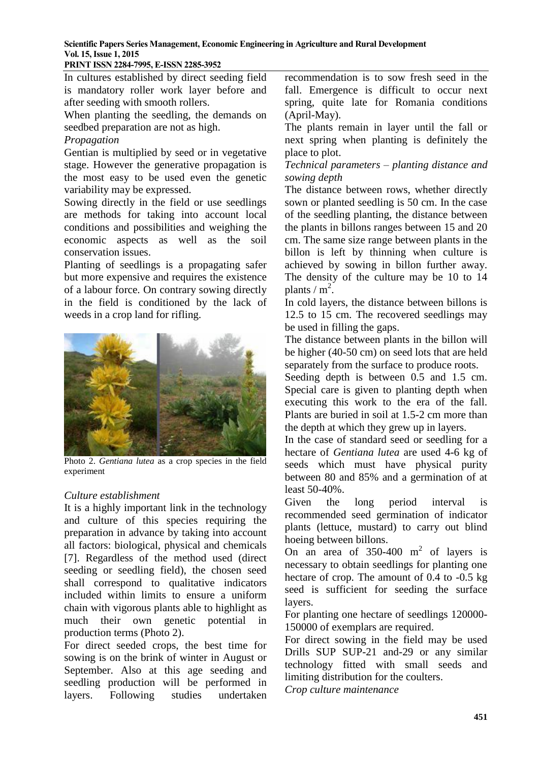### **PRINT ISSN 2284-7995, E-ISSN 2285-3952**

In cultures established by direct seeding field is mandatory roller work layer before and after seeding with smooth rollers.

When planting the seedling, the demands on seedbed preparation are not as high.

### *Propagation*

Gentian is multiplied by seed or in vegetative stage. However the generative propagation is the most easy to be used even the genetic variability may be expressed.

Sowing directly in the field or use seedlings are methods for taking into account local conditions and possibilities and weighing the economic aspects as well as the soil conservation issues.

Planting of seedlings is a propagating safer but more expensive and requires the existence of a labour force. On contrary sowing directly in the field is conditioned by the lack of weeds in a crop land for rifling.



Photo 2. *Gentiana lutea* as a crop species in the field experiment

## *Culture establishment*

It is a highly important link in the technology and culture of this species requiring the preparation in advance by taking into account all factors: biological, physical and chemicals [7]. Regardless of the method used (direct seeding or seedling field), the chosen seed shall correspond to qualitative indicators included within limits to ensure a uniform chain with vigorous plants able to highlight as much their own genetic potential in production terms (Photo 2).

For direct seeded crops, the best time for sowing is on the brink of winter in August or September. Also at this age seeding and seedling production will be performed in layers. Following studies undertaken

recommendation is to sow fresh seed in the fall. Emergence is difficult to occur next spring, quite late for Romania conditions (April-May).

The plants remain in layer until the fall or next spring when planting is definitely the place to plot.

*Technical parameters – planting distance and sowing depth*

The distance between rows, whether directly sown or planted seedling is 50 cm. In the case of the seedling planting, the distance between the plants in billons ranges between 15 and 20 cm. The same size range between plants in the billon is left by thinning when culture is achieved by sowing in billon further away. The density of the culture may be 10 to 14 plants /  $m^2$ .

In cold layers, the distance between billons is 12.5 to 15 cm. The recovered seedlings may be used in filling the gaps.

The distance between plants in the billon will be higher (40-50 cm) on seed lots that are held separately from the surface to produce roots.

Seeding depth is between 0.5 and 1.5 cm. Special care is given to planting depth when executing this work to the era of the fall. Plants are buried in soil at 1.5-2 cm more than the depth at which they grew up in layers.

In the case of standard seed or seedling for a hectare of *Gentiana lutea* are used 4-6 kg of seeds which must have physical purity between 80 and 85% and a germination of at least 50-40%.

Given the long period interval is recommended seed germination of indicator plants (lettuce, mustard) to carry out blind hoeing between billons.

On an area of  $350-400$  m<sup>2</sup> of layers is necessary to obtain seedlings for planting one hectare of crop. The amount of 0.4 to -0.5 kg seed is sufficient for seeding the surface layers.

For planting one hectare of seedlings 120000- 150000 of exemplars are required.

For direct sowing in the field may be used Drills SUP SUP-21 and-29 or any similar technology fitted with small seeds and limiting distribution for the coulters.

*Crop culture maintenance*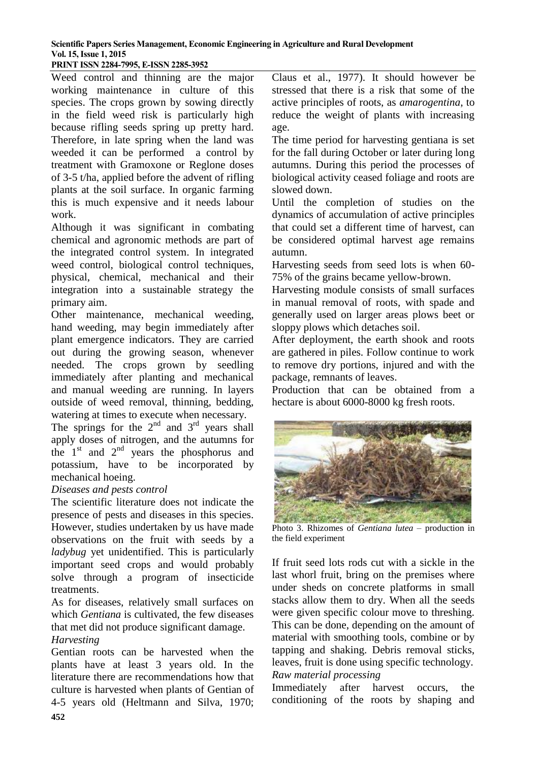**PRINT ISSN 2284-7995, E-ISSN 2285-3952** 

Weed control and thinning are the major working maintenance in culture of this species. The crops grown by sowing directly in the field weed risk is particularly high because rifling seeds spring up pretty hard. Therefore, in late spring when the land was weeded it can be performed a control by treatment with Gramoxone or Reglone doses of 3-5 t/ha, applied before the advent of rifling plants at the soil surface. In organic farming this is much expensive and it needs labour work.

Although it was significant in combating chemical and agronomic methods are part of the integrated control system. In integrated weed control, biological control techniques, physical, chemical, mechanical and their integration into a sustainable strategy the primary aim.

Other maintenance, mechanical weeding, hand weeding, may begin immediately after plant emergence indicators. They are carried out during the growing season, whenever needed. The crops grown by seedling immediately after planting and mechanical and manual weeding are running. In layers outside of weed removal, thinning, bedding, watering at times to execute when necessary.

The springs for the  $2<sup>nd</sup>$  and  $3<sup>rd</sup>$  years shall apply doses of nitrogen, and the autumns for the  $1<sup>st</sup>$  and  $2<sup>nd</sup>$  years the phosphorus and potassium, have to be incorporated by mechanical hoeing.

## *Diseases and pests control*

The scientific literature does not indicate the presence of pests and diseases in this species. However, studies undertaken by us have made observations on the fruit with seeds by a *ladybug* yet unidentified. This is particularly important seed crops and would probably solve through a program of insecticide treatments.

As for diseases, relatively small surfaces on which *Gentiana* is cultivated, the few diseases that met did not produce significant damage.

## *Harvesting*

Gentian roots can be harvested when the plants have at least 3 years old. In the literature there are recommendations how that culture is harvested when plants of Gentian of 4-5 years old (Heltmann and Silva, 1970;

Claus et al., 1977). It should however be stressed that there is a risk that some of the active principles of roots, as *amarogentina*, to reduce the weight of plants with increasing age.

The time period for harvesting gentiana is set for the fall during October or later during long autumns. During this period the processes of biological activity ceased foliage and roots are slowed down.

Until the completion of studies on the dynamics of accumulation of active principles that could set a different time of harvest, can be considered optimal harvest age remains autumn.

Harvesting seeds from seed lots is when 60- 75% of the grains became yellow-brown.

Harvesting module consists of small surfaces in manual removal of roots, with spade and generally used on larger areas plows beet or sloppy plows which detaches soil.

After deployment, the earth shook and roots are gathered in piles. Follow continue to work to remove dry portions, injured and with the package, remnants of leaves.

Production that can be obtained from a hectare is about 6000-8000 kg fresh roots.



Photo 3. Rhizomes of *Gentiana lutea* – production in the field experiment

If fruit seed lots rods cut with a sickle in the last whorl fruit, bring on the premises where under sheds on concrete platforms in small stacks allow them to dry. When all the seeds were given specific colour move to threshing. This can be done, depending on the amount of material with smoothing tools, combine or by tapping and shaking. Debris removal sticks, leaves, fruit is done using specific technology. *Raw material processing*

Immediately after harvest occurs, the conditioning of the roots by shaping and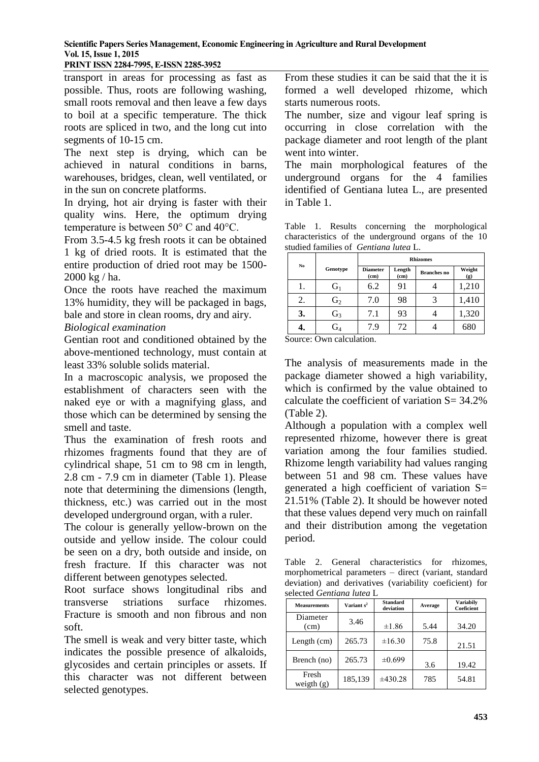#### **PRINT ISSN 2284-7995, E-ISSN 2285-3952**

transport in areas for processing as fast as possible. Thus, roots are following washing, small roots removal and then leave a few days to boil at a specific temperature. The thick roots are spliced in two, and the long cut into segments of 10-15 cm.

The next step is drying, which can be achieved in natural conditions in barns, warehouses, bridges, clean, well ventilated, or in the sun on concrete platforms.

In drying, hot air drying is faster with their quality wins. Here, the optimum drying temperature is between 50° C and 40°C.

From 3.5-4.5 kg fresh roots it can be obtained 1 kg of dried roots. It is estimated that the entire production of dried root may be 1500- 2000 kg / ha.

Once the roots have reached the maximum 13% humidity, they will be packaged in bags, bale and store in clean rooms, dry and airy.

## *Biological examination*

Gentian root and conditioned obtained by the above-mentioned technology, must contain at least 33% soluble solids material.

In a macroscopic analysis, we proposed the establishment of characters seen with the naked eye or with a magnifying glass, and those which can be determined by sensing the smell and taste.

Thus the examination of fresh roots and rhizomes fragments found that they are of cylindrical shape, 51 cm to 98 cm in length, 2.8 cm - 7.9 cm in diameter (Table 1). Please note that determining the dimensions (length, thickness, etc.) was carried out in the most developed underground organ, with a ruler.

The colour is generally yellow-brown on the outside and yellow inside. The colour could be seen on a dry, both outside and inside, on fresh fracture. If this character was not different between genotypes selected.

Root surface shows longitudinal ribs and transverse striations surface rhizomes. Fracture is smooth and non fibrous and non soft.

The smell is weak and very bitter taste, which indicates the possible presence of alkaloids, glycosides and certain principles or assets. If this character was not different between selected genotypes.

From these studies it can be said that the it is formed a well developed rhizome, which starts numerous roots.

The number, size and vigour leaf spring is occurring in close correlation with the package diameter and root length of the plant went into winter.

The main morphological features of the underground organs for the 4 families identified of Gentiana lutea L., are presented in Table 1.

Table 1. Results concerning the morphological characteristics of the underground organs of the 10 studied families of *Gentiana lutea* L.

| No |                | <b>Rhizomes</b>         |                |                    |               |
|----|----------------|-------------------------|----------------|--------------------|---------------|
|    | Genotype       | <b>Diameter</b><br>(cm) | Length<br>(cm) | <b>Branches</b> no | Weight<br>(g) |
|    | $G_1$          | 6.2                     | 91             |                    | 1,210         |
| 2. | G <sub>2</sub> | 7.0                     | 98             |                    | 1,410         |
| 3. | $G_3$          | 7.1                     | 93             |                    | 1,320         |
|    | $G_4$          | 7.9                     | 72             |                    | 680           |

Source: Own calculation.

The analysis of measurements made in the package diameter showed a high variability, which is confirmed by the value obtained to calculate the coefficient of variation S= 34.2% (Table 2).

Although a population with a complex well represented rhizome, however there is great variation among the four families studied. Rhizome length variability had values ranging between 51 and 98 cm. These values have generated a high coefficient of variation S= 21.51% (Table 2). It should be however noted that these values depend very much on rainfall and their distribution among the vegetation period.

Table 2. General characteristics for rhizomes, morphometrical parameters – direct (variant, standard deviation) and derivatives (variability coeficient) for selected *Gentiana lutea* L

| <b>Measurements</b>   | Variant $s^2$ | <b>Standard</b><br>deviation | Average | <b>Variabily</b><br>Coeficient |
|-----------------------|---------------|------------------------------|---------|--------------------------------|
| Diameter<br>(cm)      | 3.46          | $\pm 1.86$                   | 5.44    | 34.20                          |
| Length (cm)           | 265.73        | $\pm 16.30$                  | 75.8    | 21.51                          |
| Brench (no)           | 265.73        | ±0.699                       | 3.6     | 19.42                          |
| Fresh<br>weigth $(g)$ | 185,139       | ±430.28                      | 785     | 54.81                          |